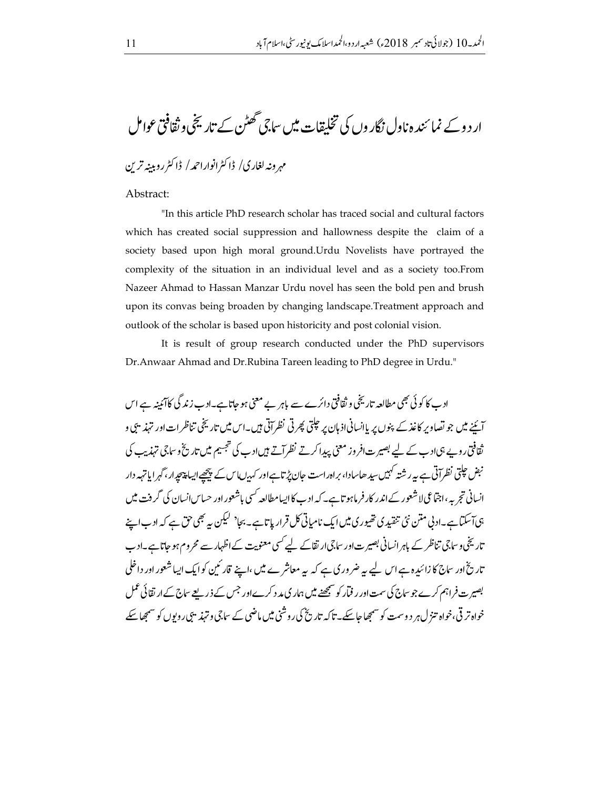ار د و کے نما ئند ہ ناول نگار وں کی تخلیقات میں ساجی تھٹن کے تاریخی و ثقافتی عوامل

## مهرونه لغاري/ ڈاکٹرانواراحمد/ ڈاکٹرروبینہ ترین

## Abstract:

"In this article PhD research scholar has traced social and cultural factors which has created social suppression and hallowness despite the claim of a society based upon high moral ground. Urdu Novelists have portrayed the complexity of the situation in an individual level and as a society too.From Nazeer Ahmad to Hassan Manzar Urdu novel has seen the bold pen and brush upon its convas being broaden by changing landscape. Treatment approach and outlook of the scholar is based upon historicity and post colonial vision.

It is result of group research conducted under the PhD supervisors Dr.Anwaar Ahmad and Dr.Rubina Tareen leading to PhD degree in Urdu."

ادے کا کوئی بھی مطالعہ تاریخی و ثقافتی دائرے سے باہر بے معنی ہو جاتاہے۔ادب زند گی کاآئمنہ ہے اس آئینے میں جو تصاویر کاغذکے پنوں پر پاانسانیاذ ہان پر حیلتی پھرتی نظر آتی ہیں۔اس میں تاریخی تناظرات اور تہذیبی و ثقافتی روپے ہی <sub>ا</sub>دے کے لیے بصیر ت افر وز معنی پیدا کرتے نظر آتے ہیں ادے کی تجسیم میں تاریخ وساجی تہذیب کی نبض حیلتی نظرآتی ہے پہ رشتہ کہیں سید ھاسادا، براہ راست حان پڑتاہےاور کہدںیاس کے پیچھےاییا پیچیدار، گہر اما تہہ دار انسانی تجربہ ،اجتماعی لاشعور کے اندر کار فرماہو تاہے۔ کہ ادب کااپیامطالعہ <sup>کس</sup>ی باشعور اور حساس انسان کی گرفت میں ہی آسکتا ہے۔ادنی متن نئی تنقید کی تھیوری میں ایک نامیاتی کل قرار پاتا ہے۔ بجا<sup>د لی</sup>کن یہ بھی حق ہے کہ ادب اپنے تاریخی و ساجی تناظر کے باہر انسانی بصیرت اور ساجی ارتقاکے لیے کسی معنویت کے اظہار سے محروم ہو جاتا ہے۔ادب تاریخ اور ساج کا زائیدہ ہے اس لیے ہیے ضر وری ہے کہ یہ معاشر ے میں ،اپنے قارئین کوایک ایساشعور اور داخلی بصیر ت فراہم کرے جو ساج کی سمت اور ر فیار کو سمجھنے میں ہمار کی مد د کرے اور جس کے ذریعے ساج کے ار تقائی عمل خواہ تر قی،خواہ تنزل ہر دوسمت کو سمجھا جاسکے۔تاکہ تاریخ کی روشنی میں ماضی کے ساتی و تہذیبی روبوں کو سمجھا سکے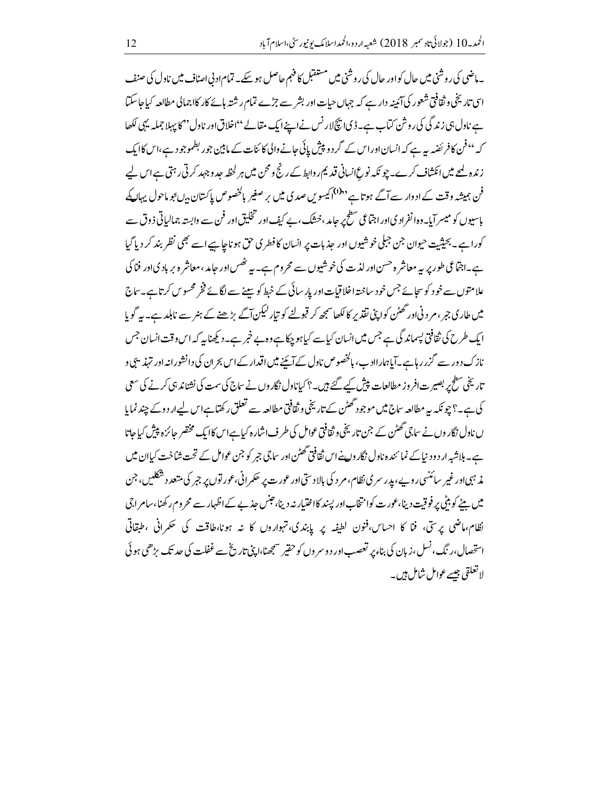۔ماضی کی روشنی میں حال کواور حال کی روشنی میں مستقبل کا فہم حاصل ہو سکے۔ تمام اد بی اصناف میں ناول کی صنف اسی تاریخی و ثقافتی شعور کی آئمینہ دار ہے کہ جہاں حیات اور بشر سے جڑے تمام رشتہ ہائے کار کااجمالی مطالعہ کیا جاسکتا ہے ناول ہی زند گی کی روش کتاب ہے۔ڈی اپنچ لارنس نے اپنے ایک مقالے ''اخلاق اور ناول' کا پہلا جملہ یہی لکھا کہ ''فن کافر ئضیہ یہ ہے کہ انسان اور اس کے گرد و پیش پائی جانے والی کائنات کے ما بین جو ر بطموجو دے،اس کاایک زندہ لمحے میں انکشاف کرے۔ چو نکہ نوع انسانی قدیم روابط کے رنج و محن میں ہر لخطہ حد وجہد کرتی رہتی ہے اس لیے فن ہمیشہ وقت کے ادوار سے آگے ہوتا ہے<sup>دد0</sup>ا کیسویں صدی میں بر صغیر بالخصوص پاکستان بی<sup>ں ج</sup>و ماحول یہال کے پاسپوں کو میسر آبا۔ وہا نفراد کی اور اجتماعی سطح پر جامد ،خشک، بے کیف اور تخلیق اور فن سے وابستہ جمالیاتی ذ وق سے کورا ہے۔بحیثیت حیوان جن جبلی خوشیوں اور حذیات پر انسان کا فطر کی حق ہو ناجا ہے اسے بھی نظر بند کر دیا گیا ہے۔اجتماعی طور پر ہیہ معاشر ہ حسن اور لذت کی خوشیوں سے محروم ہے۔ بیہ تھُس اور حامد ،معاشر ہ بر باد یااور فنا ک علامتوں سے خود کوسجائے جس خود ساختہ اخلا قیات اور پار سائی کے خبط کو سینے سے لگائے فخر محسوس کرتاہے۔ساج میں طار ی جر ،مر دنی اور گھٹن کواپنی نقذ پر کا لکھا سمجھ کر قبولنے کو تیار کیکن آگے بڑھنے کے ہنر سے نابلد ہے۔ بہر گویا ایک طرح کی ثقافتی پسماند گی ہے جس میں انسان کیاہے کیاہو جکا ہے وہ بے خبر ہے۔دیکھنا یہ کہ اس وقت انسان جس نازک دور سے گزر رہاہے۔آیاہمارااد ب، ہالخصوص ناول کے آئینے میں اقدار کے اس بحران کی دانشورانہ اور تہذیبی و تاریخی سطح پر بصیرت افر وز مطالعات پیش کیے گئے ہیں۔؟ کیاناول نگار وں نے ساج کی سمت کی نشناند ہی کرنے کی سعی کی ہے۔؟ جو نکہ یہ مطالعہ ساج میں موجود گھٹن کے تاریخی وثقافتی مطالعہ سے تعلق رکھتا ہےاس لیےار دوکے چند نمایا ں نادل نگار وں نے ساجی گھٹن کے جن تاریخی و ثقافتی عوامل کی طرف اشار ہ کیاہے اس کاایک مختصر جائزہ پیش کیاجاتا ہے۔ ہلاشیہ ار دود نباکے نمائندہ ناول نگار واپنےاس ثقافتی گھٹن اور ساجی جبر کو جن عوامل کے تحت شاخت کیاان میں مذ ہبی اور غیر سائنسی روپے، پدر سری نظام، مر د کی بالاد ستی اور عورت پر حکمر انی، عور توں پر جبر کی متعد د شکلیں ، جن میں بیٹے کو بٹی پر فوقیت دینا،عورت کوانتخاباور پسند کااختیار نہ دینا،حبس جذبے کے اظہار سے محروم رکھنا،سامر اجی نظام،ماضی پرستی، فنا کا احساس،فنون لطفیہ پر پابندی،نہواروں کا نیہ ہونا،طاقت کی تھکرانی ،طبقاتی استحصال،ر نگ، نسل،زیان کی بناء بر تعصب اور دوسر وں کو حقیر مسمجھنا،اپنی تاریخ سے غفلت کی حد تک بڑھی ہو ئی لاتعلقي جيسے عوامل شامل ہيں۔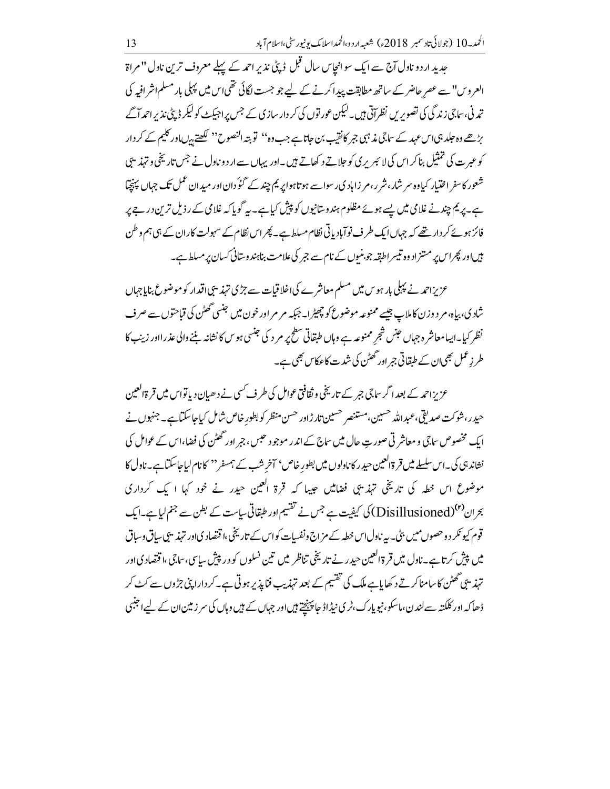جدید اردو ناول آج سے ایک سوانجاس سال قبل ڈپٹی نذیر احمہ کے پہلے معروف ترین ناول "مراۃ العروس" سے عصر حاضر کے ساتھ مطابقت پیدا کرنے کے لیے جو جست لگائی تھی اس میں پہلی بار مسلم اشر افیہ کی تدنی، ساجی زندگی کی تصویریں نظر آتی ہیں۔لیکن عور توں کی کر دار سازی کے جس پراجیکٹ کولیکر ڈپٹی نذیراحمدآگے بڑھے وہ حلد ہی اس عہد کے ساتی مذہبی جمر کانقیب بن حاتاہے جب وہ'' تو بتہ النصوح'' لکھتے ہرں اور کلیم کے کر دار کو عبر ت کی تمثیل بناکر اس کی لا ئبر پر کی کو حلاتے د کھاتے ہیں۔اور یہاں سے ار د و ناول نے جس تاریخی و تہذیبی شعور کاسفر اختیار کیاوہ سر شار،شر ر،مر زاہادی رسواسے ہوتاہوا پر یم چند کے گؤدان اور میدان عمل تک جہاں پہنچیّا ہے۔ یر یم چند نے غلامی میں پسے ہوئے مظلوم ہندوستانیوں کو پپش کیاہے۔ یہ گوپاکہ غلامی کے رذیل ترین در جے پر فائز ہوئے کر دار تھے کہ جہاں ایک طرف نوآباد پاتی نظام مسلط ہے۔ پھراس نظام کے سہولت کاران کے ہی ہم وطن بیںاور پھراس پر مشتراد وہ تیسر اطبقہ جو بنیوں کے نام سے جبر کی علامت بناہند وسانی کسان پر مسلط ہے۔

عزیزاحمہ نے پہلی بار ہو س میں مسلم معاشرے کی اخلا قیات سے جڑی تہذیبی اقدار کو موضوع بنایاجہاں شاد ی، بیاہ،م د وزن کاملاپ جیسے ممنوعہ موضوع کو چھیڑ ا۔ جبکہ م م اور خون میں جنسی گھٹن کی قیاحتوں سے صرف نظر کیا۔ایبامعاشر ہ جہاں جنس شجر ممنوعہ ہے وہاں طبقاتی سطح پر مر د کی جنسی ہو س کا نشانہ بننے والی عذر ااور زبیب کا طر زِعمل بھی ان کے طبقاتی جر اور تھٹن کی شدت کا عکاس بھی ہے۔

عزیزاحمہ کے بعد اگر ساجی جبر کے تاریخی و ثقافتی عوامل کی طرف کسی نے دھیان دیاتواس میں قرۃالعین حیدر، شوکت صدیقی،عبداللہ حسین،مستنصر حسین تار ڑاور حسن منظر کو بطورِ خاص شامل کیاجاسکتاہے۔ جنہوں نے ایک مخصوص ساجی و معاشر تی صور ت حال میں ساج کے اندر موجود حبس، جبر اور گھٹن کی فضا،اس کے عوامل کی نشاند ہی کی۔اس سلسلے میں قرۃالعین حیدر کاناولوں میں بطور خاص' آخر شب کے ہمسفر'' کانام لیاجاسکتاہے۔ناول کا موضوع اس خطہ کی تاریخی تہذیبی فضامیں جیپا کہ قرۃ اکعین حیدر نے خود کہا ا یک کرداری بحران<sup>(۲)</sup>(Disillusioned) کی کیفیت ہے جس نے تقسیم اور طبقاتی ساست کے بطن سے جنم لیاہے۔ایک قوم کیو نکر د وحصوں میں بٹی۔ پہ ناول اس خطہ کے مزاج ونفسیات کواس کے تاریخی،ا قتصاد کی اور تہذیبی سیاق وساق میں پیش کرتا ہے۔ناول میں قرۃ العین حیدر نے تاریخی تناظر میں تین نسلوں کو در پیش سایپ،ساجی،اقتصادیاور تہذیبی گھٹن کاسامناکرتے د کھایاہے ملک کی تقسیم کے بعد تہذیب فنایذ پر ہوتی ہے۔کر دارا پنی جڑوں سے کٹ کر ڈھاکہ اور کلکتہ سےلندن،ماسکو،نیویارک،ٹری نیڈاڈ جا پینچتے ہیںاور جہاں کے ہیں وہاں کی سر زمین ان کے لیے اجنبی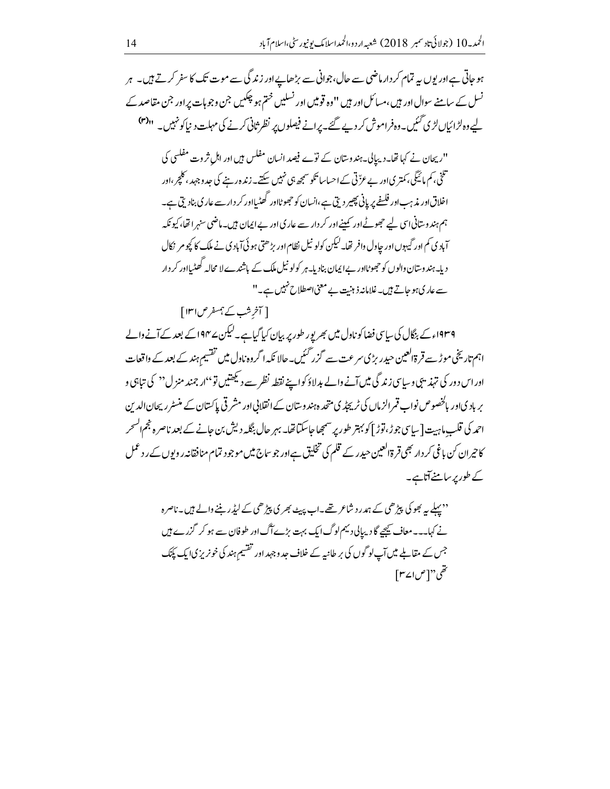ہو جاتی ہےاور یوں بیہ تمام کر دار ماضی سے حال،جوانی سے بڑھاپےاور زند گی سے موت تک کا سفر کرتے ہیں۔ ہر نسل کے سامنے سوال اور ہیں ،مسائل اور ہیں '' وہ قومیں اور نسلیں ختم ہو چکیں جن وجو ہات پر اور جن مقاصد کے لیے وہ لڑائیاں لڑی گئیں۔وہ فراموش کر دیے گئے۔پرانے فیصلوں پر نظر ثانی کرنے کی مہلت د نیاکو ٹہیں۔ ''<sup>(۳)</sup> "ریجان نے کہا تھا۔دیبالی۔ہندوستان کے نوؓے فیصد انسان مفلس ہیں اور اہل ثروت مفلسی کی

تلی<br>تلخی، کم مائیگی، کمتر یااور بے عرٌّ تی کے احساسا تکو سمجھ ہی نہیں سکتے۔ زندہ رہنے کی جد وجہد ، کلچر ،اور اخلاق اور مذہب اور فلیفے پر پانی پھیر دیتی ہے،انسان کو حجھوٹااور گھٹیااور کر دار سے عار کی بنادیتی ہے۔ ہم ہند وسانی اسی لیے حجھوٹے اور کمپنے اور کر دار سے عار کی اور بے ایمان میں۔ماضی سنہر اتھا، کیونکہ آبادی کم اور گیہوں اور حاول وافر تھا۔لیکن کولو نیل نظام اور بڑھتی ہو ئی آبادی نے ملک کا کچو مر نکال دیا۔ہند وسان والوں کو حجھوٹااور بےایمان بنادیا۔ہر کولو نیل ملک کے باشندے لا محالہ گھٹیااور کر دار سے عار کی ہو جاتے ہیں۔غلامانہ ذہنیت بے معنی اصطلاح نہیں ہے۔"

[ آخر شب کے ہمسفر ص ۱۳۱]

۱۹۳۹ء کے بنگال کی سایپی فضا کو ناول میں بھر یور طور پر بیان کیا گیا ہے۔لیکن ۱۹۴۷ کے بعد کے آنے والے اہم تاریخی موڑے قر ۃالعین حیدر بڑی سرعت سے گزر گئیں۔حالا نکہ اگروہ ناول میں تفسیم ہند کے بعد کے واقعات اوراس د ور کی تہذیبی وسایپی زند گی میں آنے والے بدلاؤ کواپنے نقطہ نظر سے دیکھتیں تو ''ار جمند منز ل'' کی تباہی و بر بادیاور بالخصوص نواب قمرالزماں کی ٹریجڈ ی متحدہ ہندوستان کے انقلابی اور مشر قی پاکستان کے منسٹر ریحان الدین احمد کی قلب ماہیت[سیاسی جوڑ، توڑ ] کو بہتر طور پر سمجھاجاسکتاتھا۔ بہر حال بنگلہ دیش بن جانے کے بعد ناصرہ خجم انسحر کا حیران کن باغی کر دار بھی قر ۃاکعین حیدر کے قلم کی تخلیق ہےاور جو ساج میں موجود تمام منافقانہ رویوں کے ر د عمل کے طور پر سامنے آتاہے۔

''پہلے <sub>ہی</sub>ر بھو کی پیڑھی کے ہمدرد شاعر تھے۔اب پہیٹ بھر کی پیڑھی کے لیڈر بننے والے <del>ہ</del>یں۔ناصرہ نے کہا۔۔۔معاف کیچیے گا دیپالی دیہم لوگ ایک بہت بڑے آگ اور طوفان سے ہو کر گزرے ہیں جس کے مقابلے میں آپ لوگوں کی بر طانیہ کے خلاف جد وجہد اور تقسیم ہند کی خونریز کیا ایک پکنک تقى"[ص2|سم]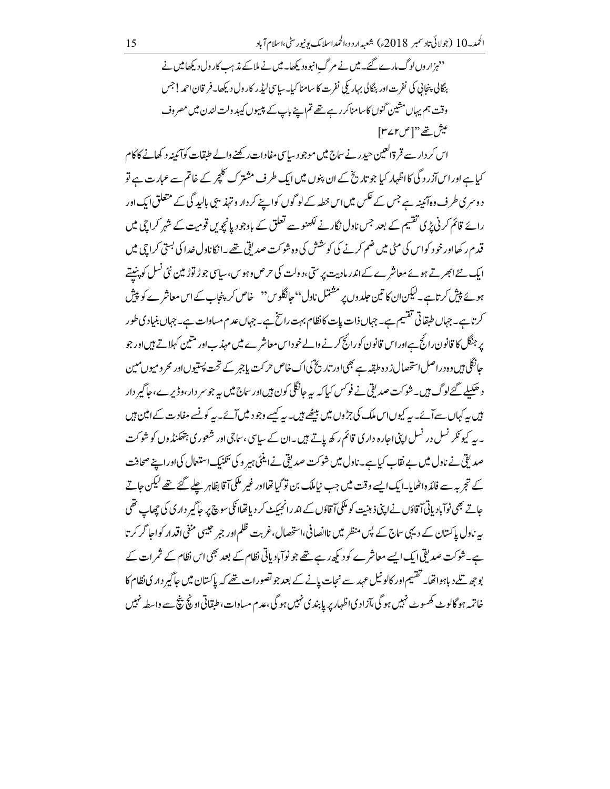''ہز اروں لوگ مارے گئے۔ میں نے مرگ انبوہ دیکھا۔ میں نے ملاکے مذہب کارول دیکھامیں نے .<br>بنگالی پنجانی کی نفرت اور بنگالی بہار <sup>کل</sup>ی نفرت کا سامنا کیا۔ساسی لیڈر کارول دیکھا۔فریان احمہ! جس وقت ہم یہاں مشین گنوں کاسامناکررہے تھے تم اپنے باپ کے پیسوں کیبیدولت لندن میں مصروف عيش تھے''[ص٢٧٢]

اس کر دار سے قر ۃالعین حیدر نے ساج میں موجو د ساسی مفادات رکھنے والے طبقات کوآئمینہ د کھانے کا کام کیا ہے اور اس آزرد گی کااظہار کیا جو تاریخ کے ان پنوں میں ایک طرف مشترک کلچر کے خاتم سے عبارت ہے تو د وسری طرف دہآئینہ ہے جس کے عکس میں اس خطہ کے لوگوں کواپنے کر دار و تہذیبی بالبد گی کے متعلق ایک اور رائے قائم کرنی پڑی تقسیم کے بعد جس نادل نگار نے لکھنو سے تعلق کے باوجود یانچویں قومیت کے شہر کراچی میں قدم رکھااور خود کواس کی مٹی میں ضم کرنے کی کوشش کی وہ شوکت صدیقی تھے۔انکاناول خدا کی بستی کراچی میں ایک نئے ابھرتے ہوئے معاشرے کے اندر مادیت پر ستی،دولت کی حرص وہویں،سیاسی جوڑ توڑ مین نئی نسل کو پنتے ہوئے پیش کرتاہے۔لیکنان) کا تین حلدوں پر مشتمل نادل'' جانگلوس'' خاص کر پنجاب کے اس معاشرے کو پیش کرتا ہے۔ جہاں طبقاتی تقسیم ہے۔ جہاں ذات پات کا نظام بہت رائخ ہے۔جہاں عد م مساوات ہے۔ جہاں بنیادی طور یر جنگل کا قانون رائج ہےاوراس قانون کورانج کرنے والے خوداس معاشرے میں مہذب اور متین کہلاتے ہیںاور جو جانگلی ہیں وہ دراصل استحصال ز د ہ طقہ ہے بھی اور تاریخ کی اک خاص حرکت باجمر کے تحت پستیوں اور محر ومیوں میں د حکیلے گئے لوگ ہیں۔شوکت صدیقی نے فو<sup>کس</sup> کیا کہ یہ جانگلی کون ہیںاور ساج میں یہ جو سر دار ،وڈیرے ،جاگیر دار بیں یہ کہاں سےآئے۔ یہ کیوں اس ملک کی جڑوں میں بیٹھے ہیں۔ یہ کیسے وجود میںآئے۔ یہ کو نسے مفاد ت کے امین ہیں ۔ بیہ کیو نکر نسل در نسل اپنی اجارہ دار کی قائم رکھ پاتے ہیں ۔ان کے سایپی ،ساجی اور شعور کی ہتھکنڈ وں کو شوکت صدیقی نے ناول میں بے نقاب کیا ہے۔ ناول میں شو کت صدیقی نےا ینٹی ہیر و کی بھنیک استعال کی اور اپنے صحافت کے تجربہ سے فائد داٹھایا۔ایک ایسے وقت میں جب نیاملک بن تو گیا تھااور غیر ملکی آقا بظاہر چلے گئے تھے کیکن جاتے حاتے بھی نوآبادیاتیآ قاؤں نے اپنی ذہنیت کو مککیآ قاؤں کے اندرانجیکٹ کر دیاتھاا<sup>تکی س</sup>وچ پر حاگیر داری کی چھاپ تھی پہ ناول پاکستان کے دیہی ساج کے پس منظر میں ناانصافی،استحصال،غربت ظلم اور جمر حبیبی منفی اقدار کواجا گر کرتا ہے۔شوکت صدیقی ایک ایسے معاشرے کو دیکھ رہے تھے جو نوآبادیاتی نظام کے بعد بھی اس نظام کے ثمرات کے <u>بوجھ تلے دیاہواتھا۔ تقسیم اور کالونیل عہدے نجات پانے کے بعد جو تصورات تھے کہ پاکستان میں جاگیر داری نظام کا </u> خاتمہ ہو گالوٹ کھسوٹ نہیں ہو گی،آزاد کیااظہار پر پابند کی نہیں ہو گی،عدم مساوات،طبقاتی اونچ نیچ سے واسطہ نہیں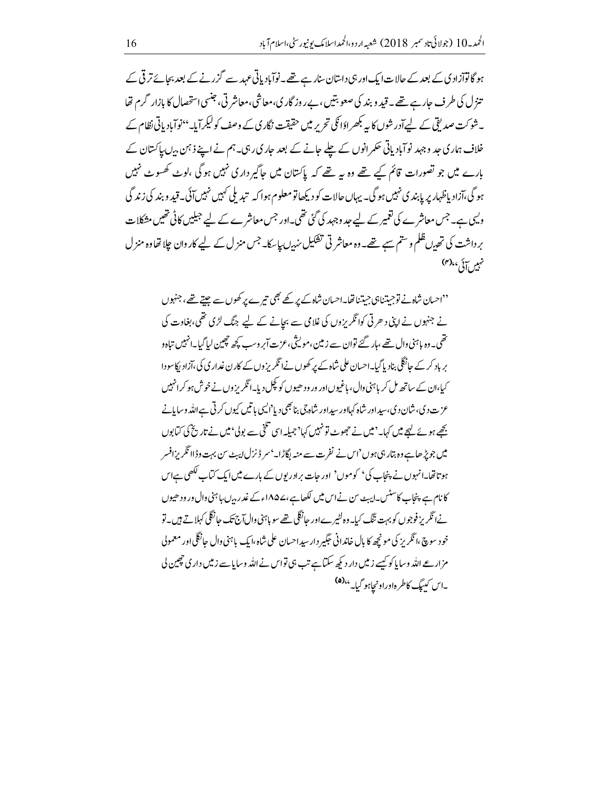ہو گا نوآزاد کی کے بعد کے حالات ایک اور ہی داستان سنار ہے تھے۔نوآباد پاتی عہد سے گزر نے کے بعد بجائے تر قی کے تنزل کی طرف جارہے تھے۔قید و بند کی صعوبتیں ،بےروز گار ی،معاشی،معاشر تی، جنسی استحصال کا بازار گرم تھا ۔شوکت صدیقی کے لیےآدر شوں کا یہ بکھراؤا ٹکی تحریر میں حقیقت نگار پی کے وصف کولیکر آیا۔''نوآبادیاتی نظام کے خلاف ہمار کی حد وجہد نوآباد پاتی حکمر انوں کے حلے جانے کے بعد جاری رہی۔ہم نے اپنے ذہن برں پاکستان کے بارے میں جو تصورات قائم کیے تھے وہ ہیے تھے کہ پاکستان میں جاگیر داری نہیں ہو گی ،لوٹ کھسوٹ نہیں ہو گی،آزاد پاظہار پر پابند ی نہیں ہو گی۔ یہاں حالات کو دیکھاتو معلوم ہوا کہ تبدیلی کہیں نہیں آئی۔ قید وبند کی زند گی ویہی ہے۔ جس معاشر ے کی تعمیر کے لیے عد وجہد کی گئی تھی۔اور جس معاشر ے کے لیے جبلیں کا ٹی تھیں مشکلات بر داشت کی تھیں ظلم و ستم سبے تھے۔وہ معاشر تی تشکیل سندیں پاسکا۔جس منزل کے لیے کاروان چلا تھاوہ منزل نہیں آئی، <sup>(۴)</sup>

''احسان شاہ نے توجیتنا ہی جیتنا تھا۔احسان شاہ کے پر کھے بھی تی<sub>ں سے پ</sub>ر کھوں سے جنتے تھے، جنہوں نے جنہوں نے اپنی د حرتی کوانگریزوں کی غلامی سے بجانے کے لیے جنگ لڑی تھی،بغاوت کی ۔<br>تھی۔ دہ پاہنی وال تھے ،ہار گئے توان سے زمین، مویثی، عزت آپر وسب کچھ چھپن لیا گیا۔انہیں تیاہ و یر یاد کرکے حانگلی بناد پاگیا۔احسان علی شاہ کے پر کھوں نے انگریز وں کے کار ن غدار کی کی،آزاد پکاسود ا کیا،ان کے ساتھ مل کر باہنی دال، باغیوں اور ور ود ھیوں کو کچل دیا۔انگریز وں نے خوش ہو کرانہیں عزت د ی،شان د ی،سیداور شاه کهااور سپداور شاه جی بنا بھی دیا<sup>د</sup>ایسی باتیں کیوں کرتی ہےاللہ وسایانے ب<u>ھے ہوئے کہجے میں کہا۔'میں نے حجوبے تو</u>نہیں کہا'جیلہ اسی تلخی سے بولی'میں نے تاریخ کی *کیابو*ں میں جویڑ ھاہے وہ بتار ہی ہوں 'اس نے نفرت سے منبہ لگاڑا۔' سر ڈیزل ایبٹ س بہت وڈاا ٹکر پزافسر ہوتاتھا۔انہوں نے پنجاب کی' کوموں' اور جات برادریوں کے بارے میںایک کماب لکھی ہےاس کانام ہے پنجاب کاسٹس۔ایبٹ سن نے اس میں لکھاہے ،ے۱۸۵۷ءکے غدر بیرب ہائنی وال ور ود ھیوں نےا ٹکریز فوجوں کو بہت ننگ کیا۔وہ لٹیرےاور حانگل تھے سو باہنی وال آج تک حانگلی کہلاتے ہیں۔تو خود سوچ ،انگریز کی مونچھ کا پال خاندانی جگیر دارسیداحسان علی شاہ،ایک باہنی وال حالگگیااور معمولی مزارعے اللہ وسایا کو کیسے زمیں دار دیکھ سکتا ہے تب ہی تواس نے اللہ وسایا سے زمیں دار ی چھین لی -اس کیږیگ کاطر داوراونجاہو گیا۔ <sup>۵)(۵)</sup>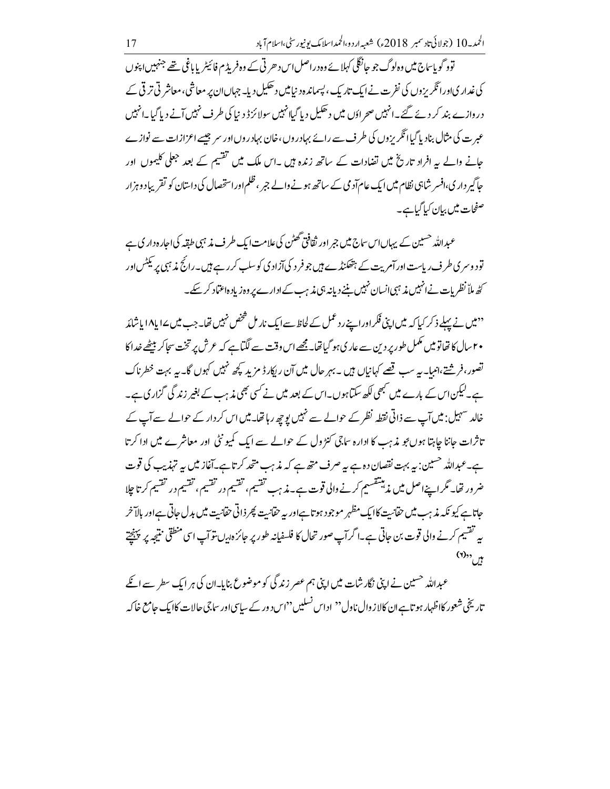توو گو پاساج میں وہ لوگ جو حانگلی کہلائےوہ دراصل اس د حرتی کے وہ فریڈ م فائیٹر پا باغی تھے جنہیں اپنوں کی غدار یااورا ٹکریزوں کی نفرت نے ایک تاریک، پسماندہ دینامیں دھکیل دیا۔ جہاںان پر معاشی،معاشر تی تر قی کے دروازے بند کر دئے گئے۔انہیں صحر ادَں میں دھکیل دیا گیاانہیں سولائزڈ د نیا کی طرف نہیں آنے دیا گیا۔انہیں عبر ت کی مثال بناد پا گیاا نگریز دں کی طرف سے رائے بہادر وں ،خان بہادر وں اور سر جیسے اعزازات سے نوازے جانے والے یہ افراد تاریخ میں تضادات کے ساتھ زندہ ہیں ۔اس ملک میں تقسیم کے بعد جعلی کلیموں اور جاگیر دار ی،افسر شاہی نظام میں ایک عام آد می کے ساتھ ہونے والے ج<sub>بر</sub> ،ظلم اور استحصال کی داستان کو تقریباد وہزار صفحات میں بیان کیا گیاہے۔

عبداللہ حسین کے بہاں اس ساح میں جر اور ثقافی گھٹن کی علامت ایک طر ف مذہبی طقہ کی اجارہ دار کی ہے تود وسر ی طر ف ریاست اورآم پت کے ہتھکنڈے ہیں جو فر د کی آزاد ی کوسلپ کر رہے ہیں۔رائج مذ ہی پر ٹیٹس اور کٹھ ملاّ نظریات نےانہیں مذہبی انسان نہیں بننے دیانہ ہی مذہب کے ادارے پر وہ زیادہ اعتماد کر سکے۔

'' میں نے پہلے ذکر کیا کہ میں اپنی فکر اور اپنے رد عمل کے لحاظ سے ایک نار مل شخص نہیں تھا۔ جب میں ۱۷ یا ۱۸ یاشائد ۲۰سال کا تھاتو میں مکمل طور پر دین سے عار کی ہو گیا تھا۔مجھے اس وقت سے لگیاہے کہ عرش پر تخت سجاکر بیٹھے خدا کا تصور،فرشتے،انبیا۔ بہ سب قصے کہانیاں ہیں ۔ بہر حال میں آن ریکارڈ مزید کچھ نہیں کہوں گا۔ بہ بہت خطرناک ہے۔لیکن اس کے بارے میں کبھی لکھ سکتاہوں۔اس کے بعد میں نے کسی بھی مذہب کے بغیر زند گی گزار ی ہے۔ خالد سہیل: میں آپ سے ذاتی نقطہ نظر کے حوالے سے نہیں پوچھ رہاتھا۔ میں اس کر دار کے حوالے سے آپ کے تاثرات جاننا جاہتا ہوں بجو مذہب کا ادارہ ساجی کنڑول کے حوالے سے ایک کمیو نٹی اور معاشرے میں ادا کرتا ہے۔عبداللہ حسین: یہ بہت نقصان دہ ہے یہ صرف متھ ہے کہ مذہب متحد کرتا ہے۔آغاز میں یہ تہذیب کی قوت ضر ور تھا۔ گر اپنے اصل میں مذہبشقسیم کرنے والی قوت ہے۔مذہب تقسیم، تقسیم در تقسیم ، تقسیم در تقسیم کرتا جِلا حاتاہے کیو نکہ مذہب میں حقانیت کاایک مظہر موجود ہوتاہےاور یہ حقانیت پھر ذاتی حقانیت میں بدل حاتی ہےاور بالآخر پہ تقسیم کرنے والی قوت بن جاتی ہے۔اگرآپ صور تحال کا فلسفیانہ طور پر جائزہ ہیں۔توآپ اسی منطقی نتیجہ پر پہنچتے  $(1), \frac{1}{\sqrt{2}}$ 

عبداللہ حسین نے اپنی نگار شات میں اپنی ہم عصر زند گی کو موضوع بنایا۔ان کی ہر ایک سطر سے انکے تاریخی شعور کااظہار ہو تاہےان کالاز وال ناول '' اداس نسلیں ''اس د ور کے سیاسی اور ساجی حالات کاایک جامع خاکہ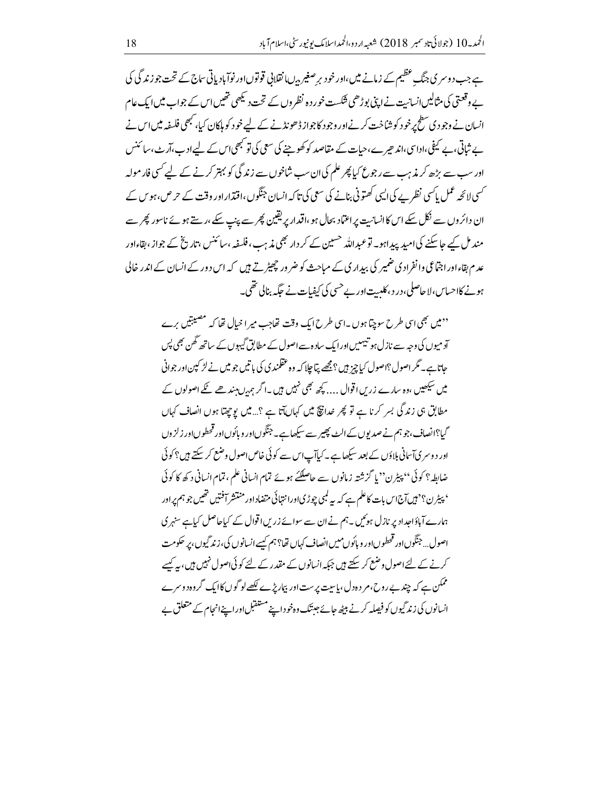ہے جب دوسر ی جنگ عظیم کے زمانے میں،اور خو دیر صغیر بہ ∪انقلابی قوتوںاور نوآباد پاتی ساج کے تحت جو زند گی کی بے وقعتی کی مثالیں انسانیت نےاپنی بوڑھی فنکست خور دہ نظر وں کے تحت دیکھی تھیں اس کے جواب میں ایک عام انسان نے وجود ی سطح پرخود کوشاخت کرنےاور وجود کاجواز ڈھونڈ نے کے لیے خود کو ملکان کیا، کبھی فلسفہ میں اس نے یے شاتی، بے کیفی،اداسی،اند حیر ے،حیات کے مقاصد کو کھوچنے کی سعی کی تو کبھی اس کے لیےادے،آر بے ،سائنس اور سب سے بڑھ کر مذہب سے رجوع کیا پھر علم کی ان سب شاخوں سے زند گی کو بہتر کرنے کے لیے کسی فار مولہ <sup>کس</sup>ی لائچہ عمل پاکسی نظر بے کی ایسی کھتونی بنانے کی سعی کی تاکہ انسان جنگوں ،اقتدار اور وقت کے حرص،ہو س کے ان دائر دں سے نکل سکے اس کاانسانیت پر اعتماد بحال ہو ،اقدار پریقین پھر سے پنپ سکے،رہتے ہوئے ناسور پھر سے مند مل کیے جاسکنے کی امید پیداہو۔ توعیداللہ حسین کے کر دار بھی مذہب،فلیفہ ،سائنس ،تاریخ کے جواز ،نقاءاور عدم بقاءاور اجتماعی وانفرادی ضمیر کی بیداری کے مباحث کو ضر ور چھیڑتے ہیں کہ اس دور کے انسان کے اندر خالی ہونے کااحساس،لا حاصلی،در د، کلیت اور بے حسی کی کیفیات نے جگہ بنالی تھی۔

''میں بھی اسی طرح سوچتا ہوں ۔اسی طرح ایک وقت تھاجب میر ا خیال تھا کہ مصیبتیں برے آد میوں کی وجہ سے نازل ہو تیہمیں اورایک سادہ سے اصول کے مطابق گیہوں کے ساتھ گھن بھی پس حاتاہے۔ مگر اصول؟اصول کیاچز ہیں؟ مجھے پتاجلا کہ وہ عقلمندی کی باتیں جو میں نے لڑ کپین اور جوانی میں سیکھیں ،وہ سارے زریں اقوال … بچھ بھی نہیں ہیں ۔اگر ہم یں بین جے عجے اصولوں کے مطابق ہی زند گی بسر کرنا ہے تو پھر خدانیؒ میں کہاںآتا ہے ؟…میں یوچیتا ہوں انصاف کہاں گیا؟انصاف،جوہم نے صدیوں کے الٹ پھیر سے سیکھاہے۔جنگوںاور و پائوںاور قحطوںاور زلز وں اور د وسری آسانی بلاؤں کے بعد سیکھاہے۔کیاآپ اس سے کوئی خاص اصول وضع کر سکتے ہیں؟کوئی ضابطہ؟ کوئی '' پیٹرن'' یا گزشتہ زمانوں سے حاصلکئے ہوئے تمام انسانی علم ، تمام انسانی د کھ کا کوئی ' پیٹرن؟' ہیں آج اس بات کاعلم ہے کہ یہ لمبی چوڑی اور انتہائی متضاد اور منتشر آفتیں تھیں جو ہم پر اور ہمارے آباؤاحداد پر نازل ہوئیں۔ہم نے ان سے سوائے زریں اقوال کے کیاجاصل کیاہے سنہر ی اصول... جنگوںاور قحطوںاور و بائوں میں انصاف کہاں تھا؟ ہم کسےانسانوں کی، زند گیوں، پر حکومت کرنے کے لئےاصول وضع کر سکتے ہیں جبکہ انسانوں کے مقدر کے لئے کوئی اصول نہیں ہیں، یہ کیسے ممکن ہے کہ چند بےروح،مر دہ دل، پاسیت پر ست اور بیماریڑے لکھے لو گوں کاایک گروہ دوسرے انسانوں کی زند گیوں کو فیصلہ کرنے بیٹھ جائے جیتک وہ خوداپنے مستقبل اوراپنےانجام کے متعلق بے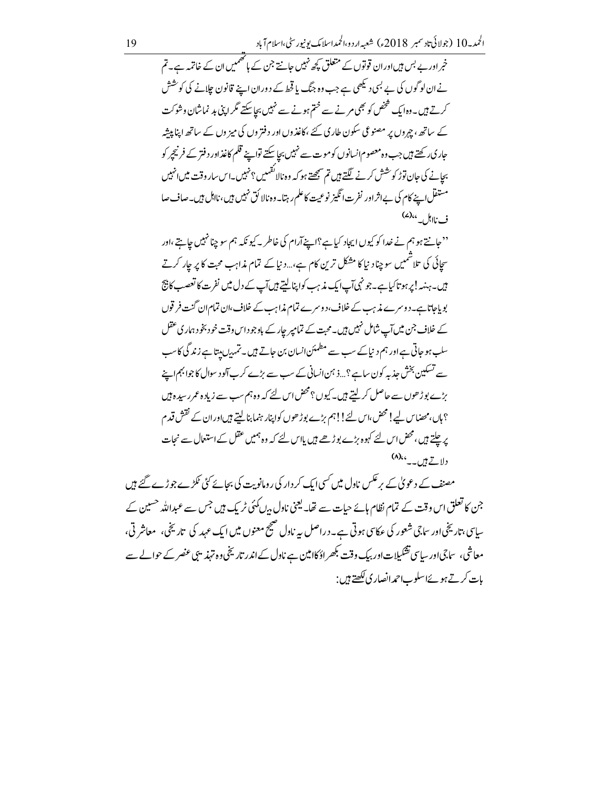خبر اور بے بس ہیں اور ان قوتوں کے متعلق کچھ نہیں جانتے جن کے ہاتھمیں ان کے خاتمہ ہے۔تم نے ان لو گوں کی بے لبی دیکھی ہے جب وہ جنگ یا قحط کے دوران اپنے قانون جلانے کی کو شش کرتے ہیں۔وہ ایک شخص کو بھی مرنے سے ختم ہونے سے نہیں بجاسکتے مگر اپنی بد نماشان وشوکت کے ساتھ ، جہروں پر مصنوعی سکون طاری کئے ،کاغذوں اور دفتر وں کی میز وں کے ساتھ اپنا پیشہ جاری رکھتے ہیں جب وہ معصوم انسانوں کو موت سے نہیں بجا سکتے تواپنے قلم کاغذاور دفتر کے فرنیچ<sub>پر</sub> کو ب<u>جا</u>نے کی جان توڑ کو شش کرنے لگتے ہیں تم سمجھتے ہو کہ وہ نالا گ<sup>ق</sup>ہیں؟ نہیں۔اس سار وقت میں انہیں مستقل اپنے کام کی بےاثراور نفرت انگیز نوعیت کاعلم رہتا۔وہ نالا ئق نہیں ہیں،نااہل ہیں۔صاف صا ف نااہل۔ ،،(۷)

"حانتے ہو ہم نے خدا کو کیوں ایجاد کیاہے؟اپنےآرام کی خاطر ۔ کیونکہ ہم سو چنا نہیں جاہتے ،اور سحائی کی تلاشمیں سوچنا دنیا کا مشکل ترین کام ہے،..دنیا کے تمام مذاہب محت کا پر جار کرتے ہیں۔ہنیہ !پرہوتا کیاہے۔جو نہی آپ ایک مذہب کواپنا لیتے ہیں آپ کے دل میں نفر ت کا تعصب کا نتج بو پاجاتاہے۔دوسرے مذہب کے خلاف،دوسرے تمام مذاہب کے خلاف،ان تمام ان گنت فرقوں کے خلاف جن میں آپ شامل نہیں ہیں۔محبت کے تمامیر جار کے باوجو داس وقت خود بخود ہماری عقل سلب ہو جاتی ہے اور ہم د نیا کے سب سے مطمئن انسان بن حاتے ہیں۔ تمہ برن بیتا ہے زندگی کا سب سے تسکین بخش جذبہ کون ساہے؟ …ذ ہمن انسانی کے سب سے بڑے کرب آلود سوال کا جوابہم اپنے بڑے بوڑ ھوں سے حاصل کر لیتے ہیں۔ کیوں ؟ محض اس لئے کہ وہ ہم سب سے زیاد ہ عمر رسید ہ ہیں ؟ ہاں،محضاس لیے!محض،اس لئے!!ہم بڑے بوڑ ھوں کواپنار ہنما بنا لیتے ہیںادران کے نقش قدم پر چلتے ہیں، محض اس لئے کہوہ بڑے بوڑھے ہیں پااس لئے کہ وہ ہمیں عقل کے استعمال سے نجات دلاتے ہیں۔۔ ہما(۸)

مصنف کے دعویٰ کے برعکس ناول میں کسی ایک کر دار کی رومانویت کی بجائے کئی ٹکڑے جو ڑے گئے ہیں جن کا تعلق اس وقت کے تمام نظام ہائے حیات سے تھا۔ یعنی ناول <sub>ہی</sub>ں کمئی ٹر یک <del>ہ</del>یں جس سے عبداللہ <sup>حس</sup>ین کے ساسی، تاریخی اور ساجی شعور کی عکاسی ہوتی ہے۔ دراصل بہ ناول صحیح معنوں میں ایک عہد کی تاریخی، معاشر تی، معاشی، ساجیاور ساسی تشکیلات اور بیک وقت بگھر اؤ کاامین ہے ناول کے اندر تاریخی وہ تہذیبی عنصر کے حوالے سے بات کرتے ہوئےاسلوب احمدانصار کی لکھتے ہیں :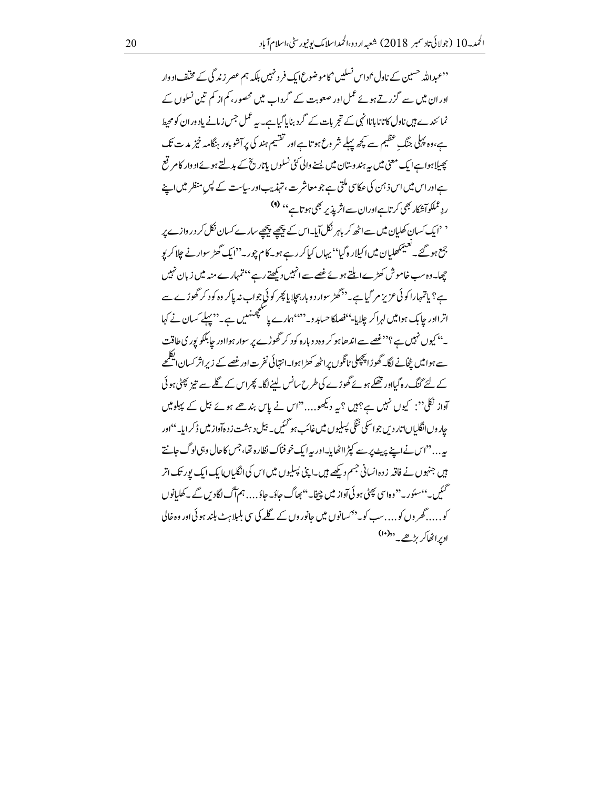<sup>د د</sup>عبداللہ <sup>حس</sup>ین کے ناول'اداس نسلیں <sup>م</sup>کاموضوعؐا <sub>یک</sub> فرد نہیں بلکہ ہم عصر زند گی کے مخلف اد وار اور ان میں سے گزرتے ہوئے عمل اور صعوبت کے گرداب میں محصور ،کم از کم تین نسلوں کے نما ئندے ہیں ناول کاتانا باناانہی کے تجربات کے گرد بنایاگیاہے۔ یہ عمل جس زمانے یاد وران کو محیط ہے،وہ پہلی جنگ عظیم سے کچھ پہلے شر وع ہو تاہے اور تقسیم ہند کی پرآشو باور ہنگامہ خیز مدت تک پھیلاہواہےایک معنی میں یہ ہندوستان میں پسنے والی کئی نسلوں پاتار پخ کے بدلتے ہوئےاد وار کام قع ہےاوراس میں اس ذہن کی عکاسی ملتی ہے جو معاشر ت، تہذیب اور ساست کے لپں منظر میں اپنے ردِ عملکوآشکار بھی کرتاہےاوران سےاثر پذیر بھی ہوتاہے '' (۹)

' 'ایک *کس*ان کھلیان میں سے اٹھ کر باہر نکل آیا۔اس کے پیچھے پیچھے سارے کسان نکل کر در وازے پر جمع ہو گئے۔ تعییمکھایان میں اکیلار ہ گیا<sup>،</sup> یہاں کیاکرر ہے ہو۔ کام چور۔''ایک گھڑ سوار نے چلاکر پو چھا۔ وہ سب خاموش کھڑے ایلتے ہوئے غصے سے انہیں دیکھتے رہے ''تمہارے منہ میں زبان نہیں ہے؟ یاتمہارا کوئی عزیز مر گیاہے۔''گھڑ سوار د و بار بیجایا پھر کوئی جواب نہ پاکر وہ کود کر گھوڑے سے اترااور جابک ہوامیں لہراکر چلایا-''فصلکاحسابد و۔'''ہمارے یا کلچھنہیں ہے۔''پہلے کسان نے کہا ۔''کیوں نہیں ہے ؟''غصے سے اند ھاہو کر وہ د وبارہ کود کر گھوڑے پر سوار ہوااور جابلکو پور کی طاقت سے ہوامیں یٹجانے لگا۔ گھوڑا پچپلی ٹانگوں پراٹھ کھڑاہوا۔انتہائی نفرت!ورغصے کے زیراثر کسان ایکلمحے کے لئے گنگ رہ گیااور تھکے ہوئے گھوڑے کی طرح سانس لینے لگا۔ پھراس کے گلے سے تیز پھٹی ہو ئی آواز نکلی": کیوں نہیں ہے؟ہیں ؟یہ دیکھو....''اس نے پاس بندھے ہوئے بیل کے پہلو میں حار وںانگلیاںاتار دیں جواسکی ننگی پسلیوں میں غائب ہو گئیں۔ بیل د ہشت ز دہآواز میں ڈ کرایا۔''اور یہ . . . "اس نے اپنے پیٹ پر سے کپڑ ااٹھا ہا۔اور پہ ایک خو فناک نظارہ تھا، جس کاحال وبی لوگ جانتے ہیں جنہوں نے فاقہ زدہ انسانی جسم دیکھے ہیں۔اپنی پسلیوں میں اس کی انگلیاں ایک ایک پور تک اتر ۔<br>سمبیں۔''سئوری<sup>''</sup> وہاسی پھٹی ہو ئی آواز میں چپخا۔''بھاگ جاؤ۔جاؤ…. ہم آگ لگادیں کے پے کھلیانوں کو.....گھر وں کو....سب کویہ<sup>43</sup>سانوں میں جانوروں کے گلے کی <sub>ت</sub>ی ملیلاہٹ بلند ہو ئی <sub>ا</sub>ور وہ خالی اوبراٹھاکریڑھے۔ ''(۱۰)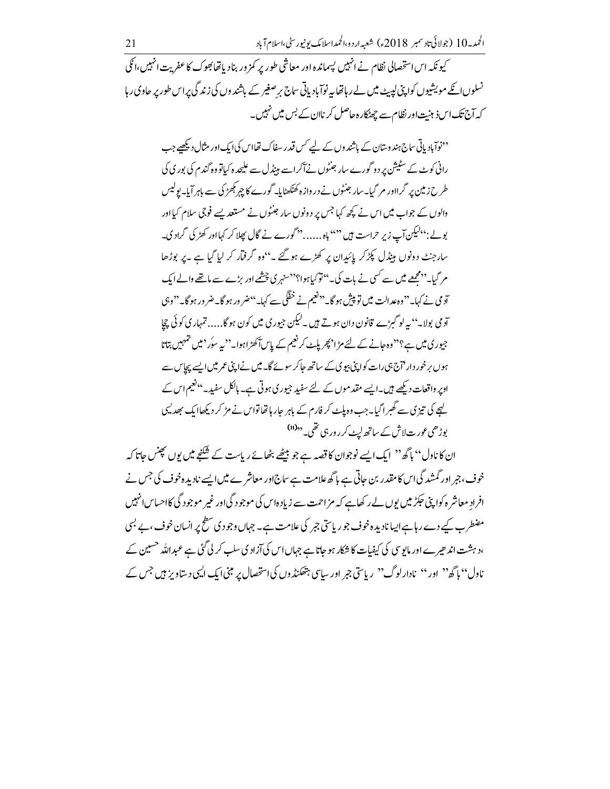۔<br>کیو نکہ اس استحصالی نظام نے انہیں پسماندہ اور معاشی طور پر کمز ور بناد یاتھابھوک کا عفریت انہیں،انکی نسلوں انکے مویشیوں کواپنی لیٹ میں لے رہاتھا یہ نوآباد پاتی ساج پر صغیر کے باشند وں کی زند گی پراس طور پر حاوی رہا کہ آج تک اس ذہنیت اور نظام سے چھٹکار ہ حاصل کر ناان کے بس میں نہیں۔

<sup>د دن</sup>وآباد پاتی ساج ہندوستان کے باشندوں کے لیے *کس قدر سفاک تھ*ااس کیا ایک اور مثال دیکھیے جب رانی کوٹ کے سٹیشن پر دو گورے سار جنٹوں نےآکراسے ہیٹڈل سے علیحدہ کیاتو وہ گندم کی بوری کی طرح زمین پر گرااور مر گیا۔سار جنٹوں نے در وازہ کھٹکھٹایا۔گورے کا چہر کچھڑکی سے باہر آیا۔یولیس والوں کے جواب میں اس نے کچھ کہا جس پر دونوں سار جنٹوں نے مستعد یسے فوجی سلام کیااور بولے: ''لیکن آپ زیرِ حراست ہیں '''' باہ ...... ''گورے نے گال پھلا کر کہااور کھڑ کی گراد ک۔ سارجنٹ دونوں ہینڈل پکڑ کر پائیدان پر کھڑے ہوگئے ۔''وہ گرفتار کر لیا گیا ہے ۔پر بوڑھا مر گیا۔''محمجھے میں سے کسی نے بات کی۔''توکیاہوا؟''سنہر کی چشمے اور بڑے سے ماتھے والے ایک آد می نے کہا۔''وہ عدالت میں تو پیش ہو گا۔''<sup>ون</sup>تیم نے خفک<sub>ی سے</sub> کہا۔''ضر ور ہو گا۔ضر ور ہو گا۔''وہی آد می بولا۔'' یہ لو گبڑے قانون دان ہوتے ہیں ۔لیکن جیوری میں کون ہوگا…. تمہاری کوئی چچا جیوری میں ہے؟"وہ جانے کے لئے مڑا' پھر پاپے کر نعیم کے پاسآ کھڑاہوا۔" پیرسوُر ' میں تمہیں بتاتا ہوں برخور دار <sup>7</sup>اج ہی رات کواپنی بیو پی کے ساتھ جاکر سونے گا۔ میں نے اپنی عمر میں ایسے پچاس سے اوپر واقعات دیکھے ہیں۔ایسے مقد موں کے لئے سفید جیوری ہوتی ہے۔ ہالکل سفید۔''فیم اس کے کہجے کی تیز ک سے گھبر اگیا۔جب وہ پلٹ کر فارم کے باہر جار ہاتھاتواس نے مڑ کر دیکھاایک بھدلیں بوڑھی عورت لاش کے ساتھ لیٹ کرر ور ہی تھی۔ <sup>د</sup><sup>(11)</sup>

ان کا نادل'' پاگھ'' ایک ایسے نوجوان کا قصہ ہے جو بیٹھے بٹھائے ریاست کے شَکْنِح میں پوں پھِنس جاتا کہ خوف، جبر اور گمشد گی اس کا مقدر بن جاتی ہے باگھ علامت ہے ساج اور معاشر ے میں ایسے نادیدہ خوف کی جس نے افراد معاشر ہ کوا پنی حکِر میں یوں لے رکھاہے کہ مزاحمت سے زیادہاس کی موجود گیااور غیر موجود گی کااحساس انہیں مضطرب کیے دے رہا ہے ایسا نادیدہ خوف جو ریاستی جبر کی علامت ہے۔ جہاں وجود کی سطح پر انسان خوف ، بے بسی ،د ہشت اند حیرے اور مایوسی کی کیفیات کا شکار ہو جاتا ہے جہاں اس کی آزاد کی سلب کر لی گئی ہے عبداللہ حسین کے ناول'' پا گھ'' اور '' نادارلوگ'' ریاستی جر اور ساسی ہتھنڈوں کی استحصال پر مبنی ایک ایسی دستاویز ہیں جس کے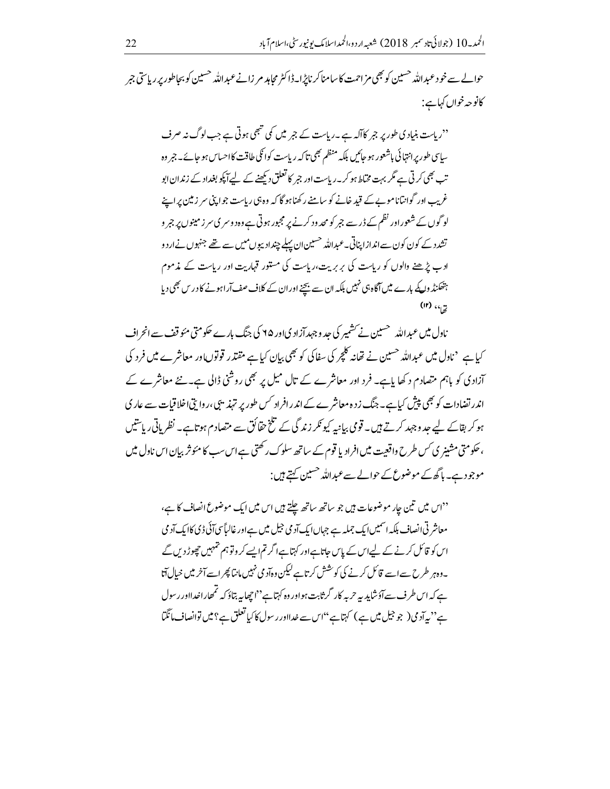حوالے سے خود عبداللہ حسین کو بھی مزاحمت کاسامناکر ناپڑا۔ڈاکٹر مجاہد مر زانے عبداللہ حسین کو بجاطور پر ریاستی جر كانوجه خواں كہاہے :

"ریاست بنیادی طور پر جبر کاآلہ ہے ۔ریاست کے جبر میں کمی تبھی ہوتی ہے جب لوگ نہ صرف ۔<br>ساسی طور پرانتہائی باشعور ہو جائیں بلکہ منظم بھی تاکہ ریاست کوائکی طاقت کااحساس ہو جائے۔جمر وہ تب بھی کرتی ہے مگر بہت مختاط ہو کریہ ریاست اور جمر کا تعلق دیکھنے کے لیے آیکو بغداد کے زندان ایو غریب اور گوانتاناموے کے قید خانے کو سامنے رکھنا ہو گا کہ وہ ہی ریاست جواپنی سر زمین پر اپنے لوگوں کے شعور اور نظم کے ڈر سے جبر کو محد ود کرنے پر مجبور ہوتی ہے وہ د وسر کی سر زمینوں پر جبر و تشدد کے کون کون سے اندازا پناتی۔عبداللہ <sup>حسی</sup>ین ان پہلے چنداد پیوں میں سے تھے جنہوں نے ار د و ادے پڑھنے والوں کو ریاست کی بربریت،ریاست کی مستور قہاریت اور ریاست کے مذموم ہتھکنڈ واکے بارے میں آگاہ ہی نہیں بلکہ ان سے بچنے اور ان کے کلاف صف آراہونے کا در س بھی دیا  $(1)$   $(4)$ 

ناول میں عبداللہ سسین نے سشمیر کی جد وجہد آزاد کی اور ۲۵ کی جنگ بارے حکومتی مئوقف سے انحراف آزادی کو باہم متصادم د کھا باہے۔ فرد اور معاشرے کے تال میل پر بھی روشنی ڈالی ہے۔نئے معاشرے کے اندر تضادات کو بھی پیش کیاہے۔ جنگ زدہ معاشر ے کے اندر افراد کس طور پر تہذیبی ،روا تی اخلاقیات سے عار کی ہو کر بقائے لیے جد وجہد کرتے ہیں۔ قومی بیانیہ کیو نکر زندگی کے تلخ حقائق سے متصادم ہو تاہے۔ نظریاتی ریاستیں ، حکومتی مشینر ی *کس طر*ح واقعیت میں افراد یا قوم کے ساتھ سلوک رکھتی ہے اس سب کا مئوثر بیان اس ناول میں موجودے۔ ہاگھ کے موضوع کے حوالے سے عبداللہ حسین کہتے ہیں :

<sup>دد</sup>اس میں تین جار موضوعات ہیں جو ساتھ ساتھ چلتے ہیں اس میں ایک موضوع انصاف کا ہے، معاشر ٹی انصاف بلکہ اسمیں ایک جملہ ہے جہاں ایک آد می جیل میں ہے اور غالباً سی آئی ڈی کاایک آد می اس کو قائل کرنے کے لیےاس کے پاس حاتاہےاور کہتاہےا گرتم ایسے کر وتو ہم تہہیں چھوڑ دیں گے ۔وہہر طرح سے اسے قائل کرنے کی کوشش کرتاہے لیکن وہآد می نہیں،انتا پھر اسےآخر میں خیال آتا ہے کہ اس طر ف سےآؤشاید بہ حربہ کار گرثابت ہواور وہ کہتاہے''اچھابہ بتاؤ کہ تمھاراخدااور رسول ے" بہ آد می( جو جیل میں ہے ) کہتاہے ''اس سے غدااور رسول کا کیا تعلق ہے؟ میں توانصاف مانگما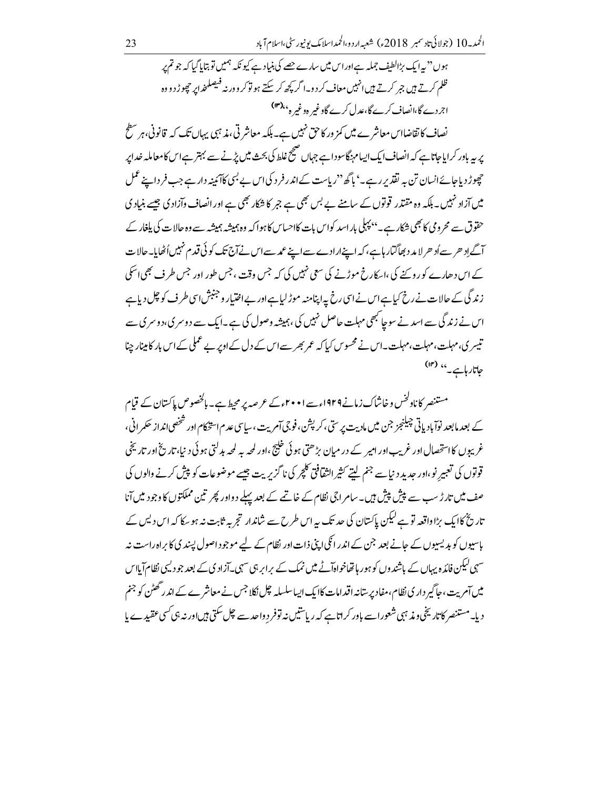ہوں'' پہ ایک بڑالطیف جملہ ہےاوراس میں سارے جھے کی بنیاد ہے کیونکہ ہمیں تو بتایا گیا کہ جو تم پر ظلم کرتے ہیں جمر کرتے ہیں انہیں معاف کردو۔ا گر کچھ کر سکتے ہو توکر دور نہ فیصلحذا پر چھوڑ دووہ اجردے گا،انصاف کرے گا،عدل کرے گاوغیر ہوغیر ہ<sup>،(rr</sup>)

نصاف کا تقاضااس معاشر ے میں کمز ور کاحق نہیں ہے۔ بلکہ معاشر تی، مذہبی یہاں تک کہ قانونی، ہر سطح یر یہ بادر کرایاجاتاہے کہ انصاف ایک ایسام بنگاسودا ہے جہاں صحیح غلط کی بحث میں پڑنے سے بہتر ہے اس کامعاملہ خدایر حچھوڑ دیاجائے انسان تن بہ تقدیر رہے۔' ہاگھ''ریاست کے اندر فرد کی اس بے <sup>بہ</sup>ی کا *کین*ہ دار ہے جب فر داپنے عمل میں آزاد نہیں۔بلکہ وہ مقتدر قوتوں کے سامنے بے بس بھی ہے جبر کا شکار بھی ہے اور انصاف وآزاد کی جیسے بنیاد کی حقوق سے محرومی کا بھی شکار ہے۔''پہلی باراسد کواس بات کااحساس کاہوا کہ وہ ہمیشہ ہمیشہ سے وہ حالات کی پلغار کے آگے اِد حر سے اُد حر لا مد د بھاگنار ہاہے، کہ اپنے ارادے سے اپنے عمد سے اس نے آج تک کو ئی قدم نہیں اُٹھایا۔حالات کے اس دھارے کو روپنے کی ،اسکارخ موڑنے کی سعی نہیں کی کہ جس وقت ، جس طور اور جس طرف بھی اسکی زندگی کے حالات نے رخ کیاہےاس نےاسی رخ پہ اپنامنہ موڑ لیاہےاور بےاختیار و جنبش اسی طرف کو چل دیاہے اس نے زند گی سے اسد نے سوچا کبھی مہلت حاصل نہیں کی ،ہمیشہ وصول کی ہے۔ایک سے دوسر ی،دوسر ی۔ تیسر ی،مہلت،مہلت،مہلت، مہلت۔اس نے محسوس کیا کہ عمر بھر سےاس کے دل کے اوپر بے عملی کے اس بار کامینار جینا جاتارہاہے۔'' (۱۴)

مستنصر کانادلخس وخاشاک زمانے ۱۹۲۹ءسے ۲۰۰۱ءکے عرصہ پر محیط ہے۔ بالخصوص پاکستان کے قیام کے بعد مابعد نوآباد پاتی چیلنجز جن میں مادیت پر ستی، کرپشن ، فوجیآمریت ،سیاسی عد م|ستخکام اور شخصی|نداز حکمرانی، غریبوں کااستحصال اور غریب اور امیر کے در میان بڑھتی ہو ئی خلیجی اور لمحہ یہ لمحہ بدلتی ہو ئی د نیا، تاریخ اور تاریخی قوتوں کی تعبیر نو ،اور حدید دیناسے جنم لیتے کثیر الثقافیٰ کلچر کی ناگز پریت جیسے موضوعات کو پیش کرنے والوں کی صف میں تارڑ سب سے پیش پیش ہیں۔ سامراجی نظام کے خاتمے کے بعد پہلے د واور پھر تین مملکتوں کاوجود میں آنا تاریخ کاایک بڑاواقعہ تو ہے لیکن پاکستان کی حد تک پیراس طرح سے شاندار تجربہ ثابت نہ ہوسکا کہ اس دیس کے پاسپوں کو بدیسیوں کے جانے بعد جن کے اندر انگی اپنی ذات اور نظام کے لیے موجود اصول پسند ی کا براہ راست نہ سہی کیکن فائد ہ یہاں کے باشندوں کو ہور ہاتھاخواہآٹے میں نمک کے پراپر ہی سہی۔آزاد پی کے بعد جود لیپی نظام آبااس میں آمریت،جاگیر داری نظام،مفاد پرستانہ اقدامات کاایک ایباسلسلہ چل نکلاجس نے معاشر ے کے اندر ٹھٹن کو جنم دیا۔مستنصر کاتاریخی ومذہبی شعوراسے باور کراتا ہے کہ ریاستیں نہ توفر دواحد سے چل سکتی ہیںاور نہ ہی کسی عقیدے ما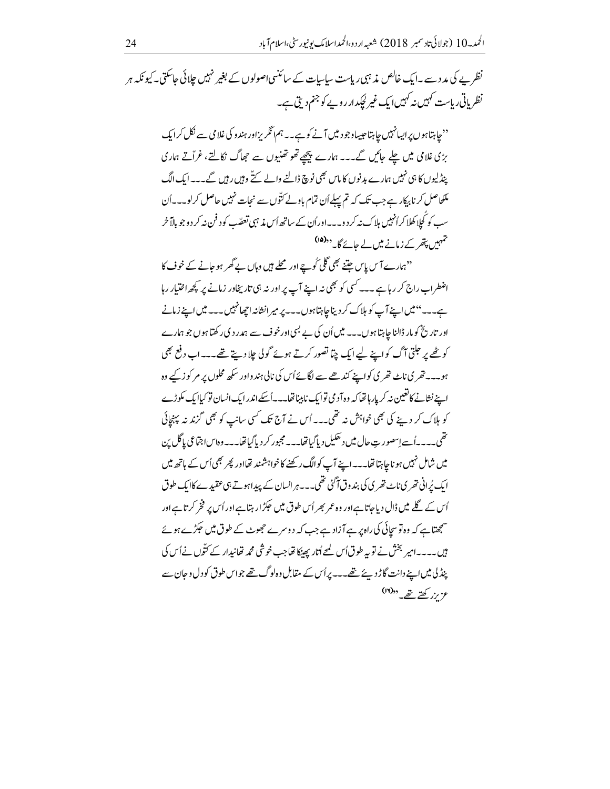نظریے کی مدد سے۔ایک خالص مذہبی ریاست ساسات کے سائنسی اصولوں کے بغیر نہیں جلائی حاسکتی۔کیونکہ ہر نظر باتی ریاست کہیں نہ کہیں ایک غیر لچکدارروپے کو جنم دیتی ہے۔

'' چاہتاہوں پر ایسانہیں چاہتا جیساوجود میں آنے کو ہے۔ یہم انگریزاور ہند و کی غلامی سے نکل کرایک بڑی غلامی میں چلے جائیں گے۔۔۔ ہمارے پیچھے تھو تھنیوں سے حجعاگ نکالتے، غرآتے ہماری ینڈلیوں کا ہی نہیں ہمارے بدنوں کا ماس بھی نوچ ڈالنے والے کتے وہیں رہیں گے۔۔۔ایک الگ مکلحاصل کر نابرکار ہے جب تک کہ تم پہلے اُن تمام باولے کتّوں سے نحات نہیں حاصل کرلو۔۔۔اُن سپ کو کَجااِ کھلا کراُنہیں ہلاک نہ کر دو۔۔اوراُن کے ساتھ اُس مذہبی تعصّب کو د فن نہ کر دوجو ہالاَ خر حہیں پتھر کے زمانے میں لے جائے گا۔ <sup>د</sup>د(۱۵)

''ہمارے آ<sup>س</sup> پاس جتنے بھی گلی <sub>ک</sub>ُو ہے اور محلے ہیں وہاں بے گھر ہو جانے کے خوف کا اضطراب راج کر رہا ہے ۔۔۔ کسی کو بھی نہ اپنے آپ پر اور نہ ہی تار پخاور زمانے پر کچھ اختیار رہا ہے۔۔۔'' میں اپنے آپ کو ہلاک کر دیناجا ہتا ہوں۔۔۔ پر میر انشانہ اچھانہیں۔۔۔ میں اپنے زمانے اور تاریخ کو مار ڈالنا جاہتا ہوں۔۔۔ میں اُن کی بے <sup>لب</sup>ی اور خوف سے ہمدر دی رکھتا ہوں جو ہمارے کو ٹھے پر جلتی آگ کواپنے لیے ایک چپا تصور کرتے ہوئے گولی جلا دیتے تھے۔۔اب دفع بھی ہو۔۔۔تفری ناٹ تفری کواپنے کندھے سے لگائےاُس کی نالی ہندواور سکھ محلوں پر مر کوز کے وہ اپنے نشانے کانغین نہ کر پار ہاتھا کہ وہ آد می توایک نابینا تھا۔۔۔اُسکے اندرایک انسان تو کیاایک مکوڑے کو ہلاک کر دینے کی بھی خواہش نہ تھی۔۔۔اُس نے آج تک کسی سانپ کو بھی گزندینہ پہنچائی تھی۔۔۔۔اُسےاسصور ت حال میں د حکیل دیاگیاتھا۔۔۔ مجبور کردیاگیاتھا۔۔۔ وہاس جنّاعی پاگل بن میں شامل نہیں ہو ناچاہتا تھا۔۔اپنے آپ کوالگ رکھنے کا خواہشند تھااور پھر بھی اُس کے ہاتھ میں ایک پُرانی تھر پی ناٹے تھر پی کی بند وق آگئی تھی۔۔۔ہر انسان کے پیداہوتے ہی عقیدے کاایک طوق اُس کے گلے میں ڈال دیاجاتا ہےاور وہ عمر بھر اُس طوق میں حکِثرار ہتاہےاور اُس پر فخر کرتاہےاور سمجتاہے کہ وہ توسچائی کی راہ پر ہے آزاد ہے جب کہ دوسرے حجھوٹ کے طوق میں حکڑے ہوئے ہیں۔۔۔۔امیر بخش نے توبہ طوق اُس لمحے اُتار پھینکا تھاجب خوشی محمد تھانپدار کے کتّوں نے اُس کی پنڈلی میں اپنے دانت گاڑ دیئے تھے۔۔پراُس کے مقابل وہ لوگ تھے جواس طوق کو دل و حان سے ۴ ن کھتر تھے۔ <sup>((۱۶)</sup>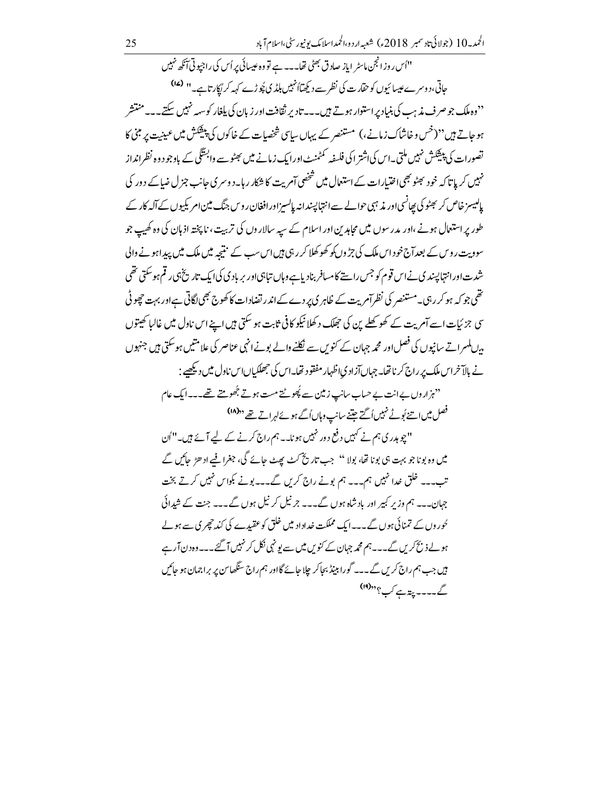"اُس روزانجن ماسٹر ایاز صادق بھٹی تھا۔۔۔ ہے تو وہ عیسائی پر اُس کی راجیوتی آئکھ نہیں حاتی،دوسرے عیسائیوں کو حقارت کی نظر سے دیکھتاانمبیں ہلڈ کی پُوڑے کہہ کر ُکارتاہے۔'' <sup>(۱۷)</sup> <sup>د د</sup>وه ملک جو صرف مذیب کی بنیاد پراستوار ہوتے ہیں۔۔۔تادیر ثقافت اور زبان کی بلغار کوسہہ نہیں سکتے۔۔ی<sup>ہ من</sup>تشر ہو جاتے ہیں''(خس و خاشاک زمانے،) مستنصر کے یہاں سایپ شخصیات کے خاکوں کی پیکشش میں عینیت پر مبنی کا تصورات کی پیشکش نہیں ملتی۔اس کیاشتر اکی فلسفہ کمٹمنٹ اورایک زمانے میں بھٹو سے وابسؓگی کے باوجود وہ نظرانداز .<br>نہیں کر پاتا کہ خود بھٹو بھی اختیارات کے استعال میں شخصی آمریت کا شکار رہا۔دوسر ی جانب جز ل ضاکے دور کی پایسیز خاص کر بھٹو کی پھانسی اور مذ ہی حوالے سے انتہا پیندانہ پایسیز اور افغان ر وس جنگ مین امریکیوں کے آلہ کار کے طور پر استعال ہونے ،اور مدرسوں میں مجاہدین اور اسلام کے سیہ سالاروں کی تربیت ، ناپختہ اذہان کی وہ کھیپ جو سوویت رویں کے بعدآج خود اس ملک کی جڑوں کو کھوکھلا کر رہی ہیں اس سب کے نتیجہ میں ملک میں پیداہونے والی شدت اورانتہا پسند ی نے اس قوم کو جس راستے کامسافر بنادیاہے وہاں تباہی اور بریادی کی ایک تاریخ ہی رقم ہوسکتی تھی تھی جو کہ ہو کرر ہی۔مستنصر کی نظرآم پت کے ظاہر کی پر دے کے اندر تضادات کا کھوج بھی لگاتی ہے اور بہت چھوٹی سی جزئیات اسے آمریت کے کھو کھلے پن کی حجلک د کھلا نیکو کافی ثابت ہو سکتی ہیں اپنے اس ناول میں غالبا کھیتوں برں ملسر اتے سانیوں کی فصل اور محمہ جہان کے کنویں سے نکلنے والے بونے انہی عناصر کی علامتیں ہوسکتی ہیں جنہوں نے بالآخراس ملک پر راج کر ناتھا۔ جہاںآزاد یااظہار مفقود تھا۔اس کی جھلکیاںاس ناول میں دیکھیے : "نہزاروں بےانت بے حساب سانپ زمین سے پُھوٹتے مست ہوتے بُھومتے تھے۔۔ایک عام

فصل میں اتنے بُوٹے نہیں اُگتے جتنے سانپ وہاں اُگے ہوئےلہراتے تھے <sup>((۱۸)</sup>

"چوہدری ہم نے کہیں دفع دور نہیں ہونا۔ ہم راج کرنے کے لیے آئے ہیں۔"اُن میں وہ بونا جو بہت ہی بونا تھا، بولا '' جب تاریخ کٹ بھٹ جائے گی، جغرا فیے اد ھڑ جائیں گے تب۔۔۔ غلق خدا نہیں ہم۔۔۔ ہم بونے راج کریں گے۔۔۔بونے بکواس نہیں کرتے بخت جہان۔۔۔ ہم وزیر کبیر اور باد شاہ ہوں گے۔۔۔ جر نیل کر نیل ہوں گے۔۔۔ جنت کے شیدائی حُوروں کے تمنائی ہوں گے۔۔ایک مملکت خداداد میں خلق کو عقیدے کی کند چھری سے ہولے ہولے ذبح کریں گے۔۔ ہم محمہ جہان کے کنویں میں سے بونہی نکل کر نہیں آ گئے۔۔ وہ دن آر ہے ہیں جب ہم راج کریں گے۔۔۔ گورا ببیڈ بجاکر چلا جائے گااور ہم راج سنگھاس پر براجمان ہو جائیں گے۔۔۔۔ پیتہ ہے کب؟''(اا)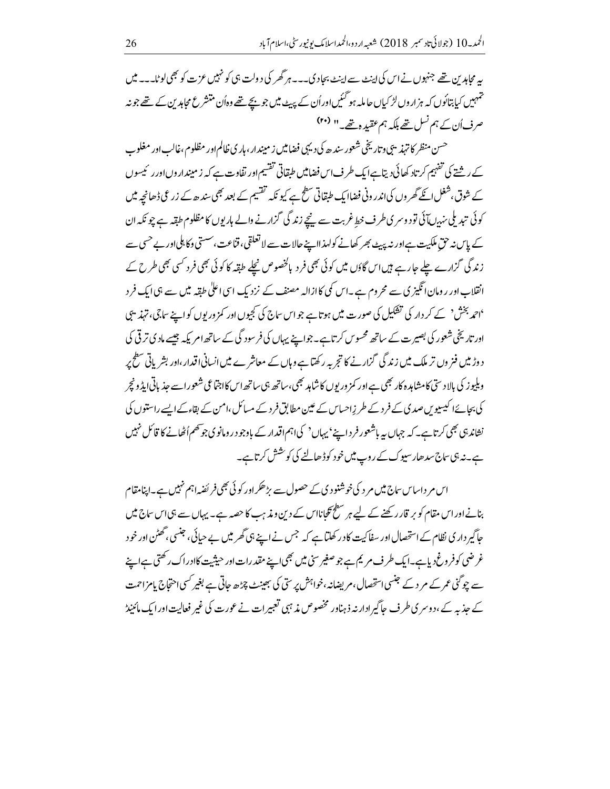یہ محامد بن تھے جنہوں نے اس کی اپنٹ سے اپنٹ بحاد کی۔۔۔ ہر گھر کی د ولت ہی کو نہیں عزت کو بھی لوٹا۔۔۔ میں ۔<br>تہہیں کیا بتائوں کہ ہزاروں لڑ کیاں حاملہ ہو گئیں اوراُن کے پیٹ میں جو بیچے تھے وہاُن متنثر ع محاہدین کے تھے جونہ صرف اُن کے ہم نسل تھے بلکہ ہم عقیدہ تھے۔'' <sup>(۴۰</sup>)

حسن منظر کا تہذیبی وتاریخی شعور سندھ کی دیہی فضامیں زمیندار،ہاری ظالم اور مظلوم،غالب اور مغلوب کے رشتے کی تفہیم کرتاد کھائی دیتاہےا یک طرف اس فضامیں طبقاتی تفسیم اور تفاوت ہے کہ زمیندار وں اور رئیسوں کے شوق،شغل انکے گھر وں کی اندر ونی فضاایک طبقاتی سطح ہے کیونکہ تقسیم کے بعد بھی سندھ کے زر گی ڈھانچہ میں کوئی تبدیلی سہ ب آئی تو دوسری طرف خط غربت سے نیچے زندگی گزارنے والے ہاریوں کا مظلوم طبقہ ہے چو نکہ ان کے پاس نہ حق ملکیت ہےاور نہ پیپ بھر کھانے کولہذااپنے حالات سے لا تعلقی، قناعت، سستی وکا ہلیااور بے حسی سے زندگی گزارے چلے جارہے ہیں اس گاؤں میں کوئی بھی فرد پالخصوص نچلے طبقہ کا کوئی بھی فرد کسی بھی طرح کے انقلاب اور رومان انگیز کی سے محروم ہے ۔اس کمی کاازالہ مصنف کے نزد یک اسی اعلیٰ طبقہ میں سے ہی ایک فرد 'احمد بخش' کے کر دار کی تشکیل کی صورت میں ہوتا ہے جواس ساج کی کجیوں اور کمز وریوں کو اپنے ساجی، تہذیبی اور تاریخی شعور کی بصیرت کے ساتھ محسوس کرتاہے۔جواپنے یہاں کی فرسود گی کے ساتھ امریکہ جیسے مادی ترقی کی دوڑ میں فنروں تر ملک میں زند گی گزار نے کا تجربہ رکھتاہے وہاں کے معاشرے میں انسانی اقدار ،اور بشریاتی سطح پر وبلیوز کی بالا دستی کامشاہدہ کار بھی ہے اور کمز وریوں کا شاہد بھی،ساتھ ہی ساتھ اس کااجتماعی شعوراسے جذباتی ایڈ ونچر کی بجائےا کیسیوس صدی کے فرد کے طرزِاحساس کے عین مطابق فرد کے مسائل،امن کے بقاءکے ایسے راستوں کی نشاند ہی بھی کرتاہے۔ کہ جہاں یہ باشعور فر داپنے' پہاں' کیا ہم اقدار کے باوجو در ومانوی جوتھم اُٹھانے کا قائل نہیں ہے۔نہ ہی ساج سد ھار سیوک کے روپ میں خود کو ڈھالنے کی کوشش کرتاہے۔

اس مر داساس ساج میں مر د کی خوشنود کی کے حصول سے بڑھکراور کوئی بھی فر ئضہ اہم نہیں ہے۔اپنامقام بنانے اور اس مقام کو بر قار رکھنے کے لیے ہر سطح تکجانااس کے دین و مذہب کا حصہ ہے۔ یہاں سے ہی اس ساج میں جاگیر دار کی نظام کے استحصال اور سفاکیت کا در کھلیاہے کہ جس نے اپنے ہی گھر میں بے حیائی، جنسی ،گھٹن اور خود غرضی کوفروغ دیاہے۔ایک طرف مریم ہے جو صغیر سی میں بھی اپنے مقدرات اور حیثیت کاادراک رکھتی ہے اپنے سے چوگنی عمر کے مر د کے جنسی استحصال، مریضانہ،خواہش پر ستی کی جھینٹ چڑھ جاتی ہے بغیر کسی احتجاج پامزاحمت کے جذبہ کے ،دوسر کی طرف جاگیرادارنہ ذہناور مخصوص مذہبی تعبیرات نے عورت کی غیر فعالیت اور ایک مائینڈ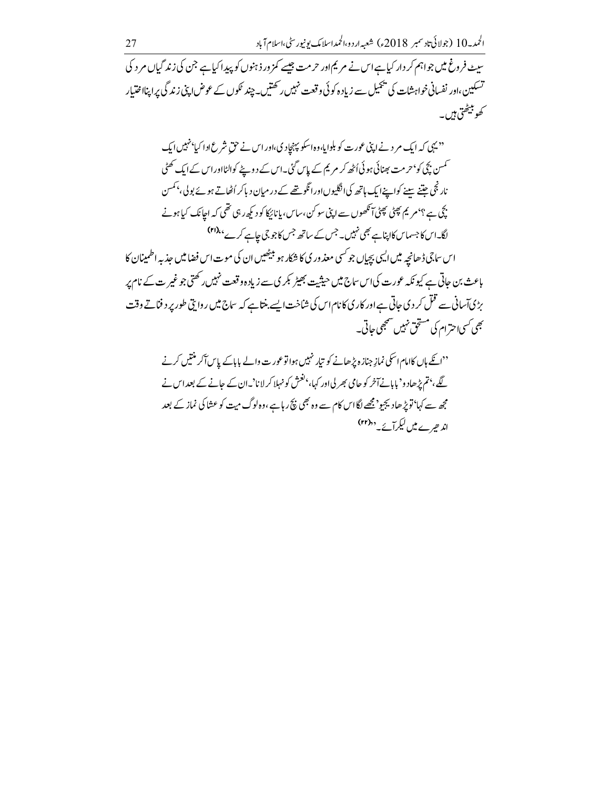۔<br>سیٹ فرورغ میں جواہم کر دار کیا ہے اس نے مریم اور حرمت جیسے کمز ور ذہنوں کو پیدا کیا ہے جن کی زند گیاں مر د کی ۔<br>تسکین ،اور نفسانی خواہشات کی پیمیل سے زیادہ کوئی وقعت نہیں رکھتیں۔چند <sup>ع</sup>لوں کے عوض اپنی زند گی پر اپنااختیار ے بیٹھتی ہیں۔

<sup>د دی</sup> پی که ایک مر د نے اپنی عورت کو بلوایا،وہ اسکو پہنچادی،اور اس نے حق شرع ادا کیا<sup>، ز</sup>ہیں ایک ۔<br>تمسن بچی کو <sup>ہ</sup> حرمت بھنائی ہو ئی اُٹھ کر مریم کے پاس گئی۔اس کے دوپنے کوالٹااور اس کے ایک تھٹی نارنجی جتنے سینے کواپنے ایک ہاتھ کی انگلیوں اور انگو یتھے کے در میان دیا کر اُٹھاتے ہوئے بولی، بمسن .<br>پچی ہے ؟'مریم پھٹی پھٹی آنکھوں سے اپنی سو کن،ساس، پانائیکا کودیکھ رہی تھی کہ اجانک کیا ہونے لگا۔اس کا جسماس کااپناہے بھی نہیں۔جس کے ساتھ جس کاجو جی جاہے کرے ،،(۲) اس ساجي ڈھانچہ ميں ايسي بچپاں جو سي معذ ور ي کا شکار ہو بيٹھيں ان کي موت اس فضاميں جذبہ اطمينان کا باعث بن جاتی ہے کیونکہ عورت کیااس ساج میں حیثیت بھیڑ <sup>ک</sup>یری سے زیادہ وقعت نہیں رکھتی جو غیر ت کے نام پر بڑیآسانی سے قتل کر دی جاتی ہے اور کاری کا نام اس کی شاخت ایسے بنتا ہے کہ ساج میں روا پتی طور پر د فناتے وقت <u> جھی کسی احترام کی مستحق نہیں سمجھی حاتی۔</u>

''ائکے ہاں کاامام اسکی نمازِ جنازہ پڑھانے کو تیار نہیں ہواتوعورت والے باباکے پاسآکر منتیں کرنے گئے، بتم پڑھاد و' بابانےآخر کو حامی بھر لی اور کہا، 'فتمش کو نہلا کر لانا'۔ان کے حانے کے بعد اس نے مجھ سے کہا'تو پڑھادیجیو' مجھے لگااس کام سے وہ بھی نکچ رہا ہے ،وہ لوگ میت کو عثا کی نماز کے بعد اند حیر ے میں لیکر آئے۔ ''(۲۲)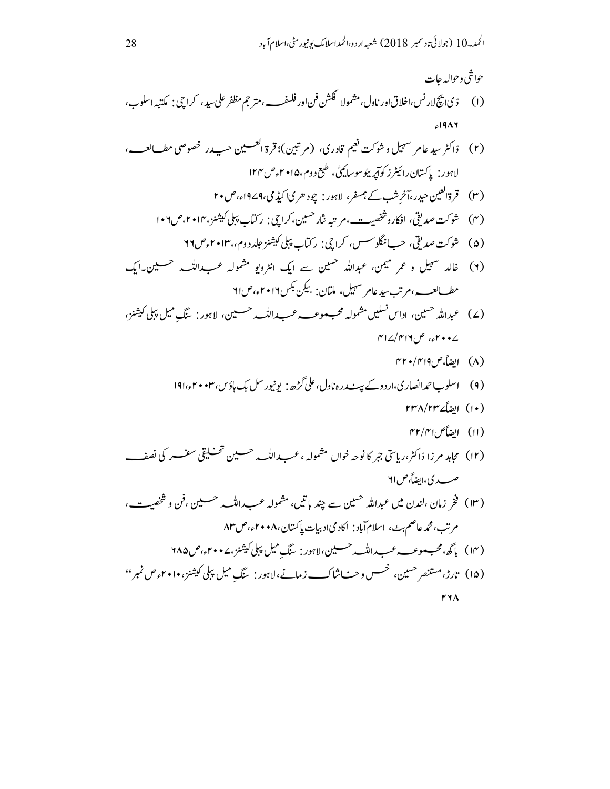## حواشي وحواله حات  $619AY$ لاہور : پاکستان رائیٹر زکوآپریٹوسوسائیٹی، طبع دوم،۱۵۰+موص۱۲۴ (۳) قرةالعین حیدر،آخرشب کے ہمسفر، لاہور: چود حرمی) کیڈی،9۷۹ء،ص۲۰ (۴) شوكت صديقي، افكاروشخصت، م تبه بنار حسين، كراحي: ركباب پيلي كيشنز، ٢٠١٢، ص١٠٦. (۵) \_ شوكت صديقي، حسبانگلوسس، كراچي: ركٽاب پېلې كېشنز جلدد دم، ۲۰۱۳ وع ۲۹ (۲) خالد شہیل و عمر میمن، عبداللہ حسین سے ایک انٹرویو مشمولہ عب اللہ مصلین۔ایک مطسالعب،مرتب سیدعامر سہیل، ملتان: بیکن بکس۲۰۱۲ء،ص۲۱ (۷) عبدالله حسین، اداس نسلیں مشمولہ محب موعب عب اللّٰہ حسین، لاہور: ینگ میل پلی کیشنز،  $\Gamma$ 12/۴۱۶ می په  $\Gamma$ (٨) ايضاً، ص٣٢٠/٣١٩ (۹) \_ اسلوب|حمدانصاری،ار دوکے پیٹ روہ ناول،علی گڑھ: یونیورسل بک ہاؤس،۲۰۰۳ء،۱۹۱ (۱۰) الضاً ۲۳۸/۲۳۷ (۱۱) الضاًص ۴۲/۴۱ صدى، ايضاً، ص٢١ (١٣) فخر زمان ،لندن ميں عبداللہ حسين سے چند باتيں، مشمولہ عب داللہ بہ حسين ،فن و شخصيت، مرتب،محمہ عاصم بٹ، اسلام آباد : اکاد می ادبیات پاکستان،۸۰×۲۰ء،ص۸۳ (١٢) باگھ،محب موعب عب داللہ حسین،لاہور: سنگ میل پہلی کیشنز،۲۰۰۷ء،ص ۱۸۵ (۱۵) تارڑ،مستنصر حسین، خسس و حـــاشاك\_\_\_ زمانے، لاہور : سَگ میل پہلی کیشنز، ۲۰۱۰ء ص نمبر '' **FYA**